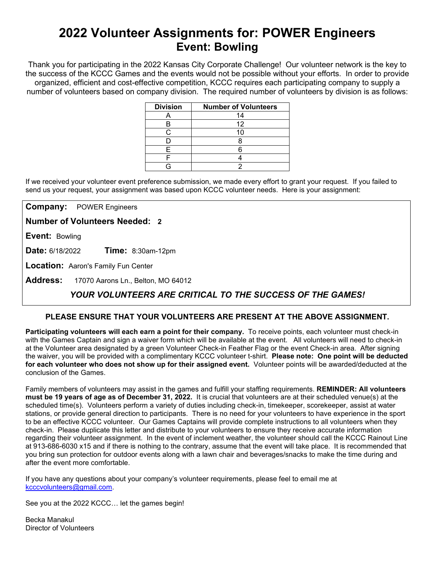# **2022 Volunteer Assignments for: POWER Engineers Event: Bowling**

Thank you for participating in the 2022 Kansas City Corporate Challenge! Our volunteer network is the key to the success of the KCCC Games and the events would not be possible without your efforts.In order to provide organized, efficient and cost-effective competition, KCCC requires each participating company to supply a number of volunteers based on company division. The required number of volunteers by division is as follows:

| <b>Division</b> | <b>Number of Volunteers</b> |
|-----------------|-----------------------------|
|                 | 14                          |
| В               | 12                          |
|                 |                             |
|                 |                             |
| F               |                             |
|                 |                             |
|                 |                             |

If we received your volunteer event preference submission, we made every effort to grant your request. If you failed to send us your request, your assignment was based upon KCCC volunteer needs. Here is your assignment:

**Company:** POWER Engineers

**Number of Volunteers Needed: 2**

**Event:** Bowling

**Date:** 6/18/2022 **Time:** 8:30am-12pm

**Location:** Aaron's Family Fun Center

**Address:** 17070 Aarons Ln., Belton, MO 64012

## *YOUR VOLUNTEERS ARE CRITICAL TO THE SUCCESS OF THE GAMES!*

### **PLEASE ENSURE THAT YOUR VOLUNTEERS ARE PRESENT AT THE ABOVE ASSIGNMENT.**

**Participating volunteers will each earn a point for their company.** To receive points, each volunteer must check-in with the Games Captain and sign a waiver form which will be available at the event. All volunteers will need to check-in at the Volunteer area designated by a green Volunteer Check-in Feather Flag or the event Check-in area. After signing the waiver, you will be provided with a complimentary KCCC volunteer t-shirt. **Please note: One point will be deducted for each volunteer who does not show up for their assigned event.** Volunteer points will be awarded/deducted at the conclusion of the Games.

Family members of volunteers may assist in the games and fulfill your staffing requirements. **REMINDER: All volunteers must be 19 years of age as of December 31, 2022.** It is crucial that volunteers are at their scheduled venue(s) at the scheduled time(s). Volunteers perform a variety of duties including check-in, timekeeper, scorekeeper, assist at water stations, or provide general direction to participants. There is no need for your volunteers to have experience in the sport to be an effective KCCC volunteer. Our Games Captains will provide complete instructions to all volunteers when they check-in. Please duplicate this letter and distribute to your volunteers to ensure they receive accurate information regarding their volunteer assignment. In the event of inclement weather, the volunteer should call the KCCC Rainout Line at 913-686-6030 x15 and if there is nothing to the contrary, assume that the event will take place. It is recommended that you bring sun protection for outdoor events along with a lawn chair and beverages/snacks to make the time during and after the event more comfortable.

If you have any questions about your company's volunteer requirements, please feel to email me at [kcccvolunteers@gmail.com.](mailto:kcccvolunteers@gmail.com)

See you at the 2022 KCCC… let the games begin!

Becka Manakul Director of Volunteers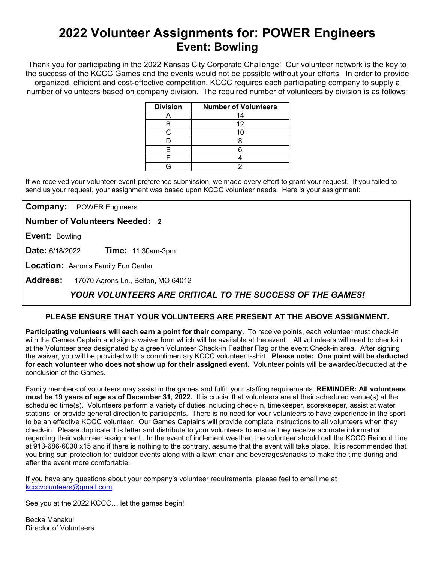# **2022 Volunteer Assignments for: POWER Engineers Event: Bowling**

Thank you for participating in the 2022 Kansas City Corporate Challenge! Our volunteer network is the key to the success of the KCCC Games and the events would not be possible without your efforts.In order to provide organized, efficient and cost-effective competition, KCCC requires each participating company to supply a number of volunteers based on company division. The required number of volunteers by division is as follows:

| <b>Division</b> | <b>Number of Volunteers</b> |
|-----------------|-----------------------------|
|                 | 14                          |
| В               | 12                          |
|                 |                             |
|                 |                             |
| F               |                             |
|                 |                             |
|                 |                             |

If we received your volunteer event preference submission, we made every effort to grant your request. If you failed to send us your request, your assignment was based upon KCCC volunteer needs. Here is your assignment:

**Company:** POWER Engineers

**Number of Volunteers Needed: 2**

**Event:** Bowling

**Date:** 6/18/2022 **Time:** 11:30am-3pm

**Location:** Aaron's Family Fun Center

**Address:** 17070 Aarons Ln., Belton, MO 64012

## *YOUR VOLUNTEERS ARE CRITICAL TO THE SUCCESS OF THE GAMES!*

### **PLEASE ENSURE THAT YOUR VOLUNTEERS ARE PRESENT AT THE ABOVE ASSIGNMENT.**

**Participating volunteers will each earn a point for their company.** To receive points, each volunteer must check-in with the Games Captain and sign a waiver form which will be available at the event. All volunteers will need to check-in at the Volunteer area designated by a green Volunteer Check-in Feather Flag or the event Check-in area. After signing the waiver, you will be provided with a complimentary KCCC volunteer t-shirt. **Please note: One point will be deducted for each volunteer who does not show up for their assigned event.** Volunteer points will be awarded/deducted at the conclusion of the Games.

Family members of volunteers may assist in the games and fulfill your staffing requirements. **REMINDER: All volunteers must be 19 years of age as of December 31, 2022.** It is crucial that volunteers are at their scheduled venue(s) at the scheduled time(s). Volunteers perform a variety of duties including check-in, timekeeper, scorekeeper, assist at water stations, or provide general direction to participants. There is no need for your volunteers to have experience in the sport to be an effective KCCC volunteer. Our Games Captains will provide complete instructions to all volunteers when they check-in. Please duplicate this letter and distribute to your volunteers to ensure they receive accurate information regarding their volunteer assignment. In the event of inclement weather, the volunteer should call the KCCC Rainout Line at 913-686-6030 x15 and if there is nothing to the contrary, assume that the event will take place. It is recommended that you bring sun protection for outdoor events along with a lawn chair and beverages/snacks to make the time during and after the event more comfortable.

If you have any questions about your company's volunteer requirements, please feel to email me at [kcccvolunteers@gmail.com.](mailto:kcccvolunteers@gmail.com)

See you at the 2022 KCCC… let the games begin!

Becka Manakul Director of Volunteers